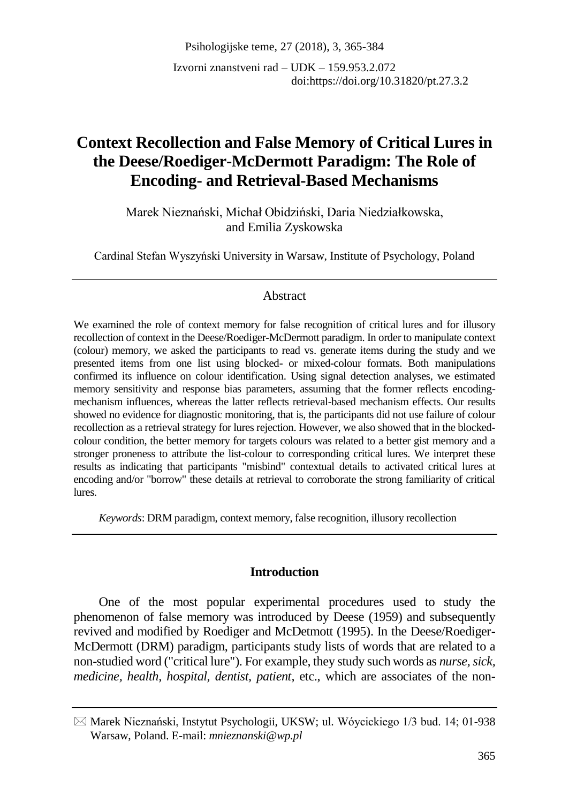Psihologijske teme, 27 (2018), 3, 365-384

Izvorni znanstveni rad – UDK – 159.953.2.072 doi:https://doi.org/10.31820/pt.27.3.2

# **Context Recollection and False Memory of Critical Lures in the Deese/Roediger-McDermott Paradigm: The Role of Encoding- and Retrieval-Based Mechanisms**

Marek Nieznański, Michał Obidziński, Daria Niedziałkowska, and Emilia Zyskowska

Cardinal Stefan Wyszyński University in Warsaw, Institute of Psychology, Poland

#### Abstract

We examined the role of context memory for false recognition of critical lures and for illusory recollection of context in the Deese/Roediger-McDermott paradigm. In order to manipulate context (colour) memory, we asked the participants to read vs. generate items during the study and we presented items from one list using blocked- or mixed-colour formats. Both manipulations confirmed its influence on colour identification. Using signal detection analyses, we estimated memory sensitivity and response bias parameters, assuming that the former reflects encodingmechanism influences, whereas the latter reflects retrieval-based mechanism effects. Our results showed no evidence for diagnostic monitoring, that is, the participants did not use failure of colour recollection as a retrieval strategy for lures rejection. However, we also showed that in the blockedcolour condition, the better memory for targets colours was related to a better gist memory and a stronger proneness to attribute the list-colour to corresponding critical lures. We interpret these results as indicating that participants "misbind" contextual details to activated critical lures at encoding and/or "borrow" these details at retrieval to corroborate the strong familiarity of critical lures.

*Keywords*: DRM paradigm, context memory, false recognition, illusory recollection

## **Introduction**

One of the most popular experimental procedures used to study the phenomenon of false memory was introduced by Deese (1959) and subsequently revived and modified by Roediger and McDetmott (1995). In the Deese/Roediger-McDermott (DRM) paradigm, participants study lists of words that are related to a non-studied word ("critical lure"). For example, they study such words as *nurse, sick, medicine, health, hospital, dentist, patient,* etc., which are associates of the non-

Marek Nieznański, Instytut Psychologii, UKSW; ul. Wóycickiego 1/3 bud. 14; 01-938 Warsaw, Poland. E-mail: *mnieznanski@wp.pl*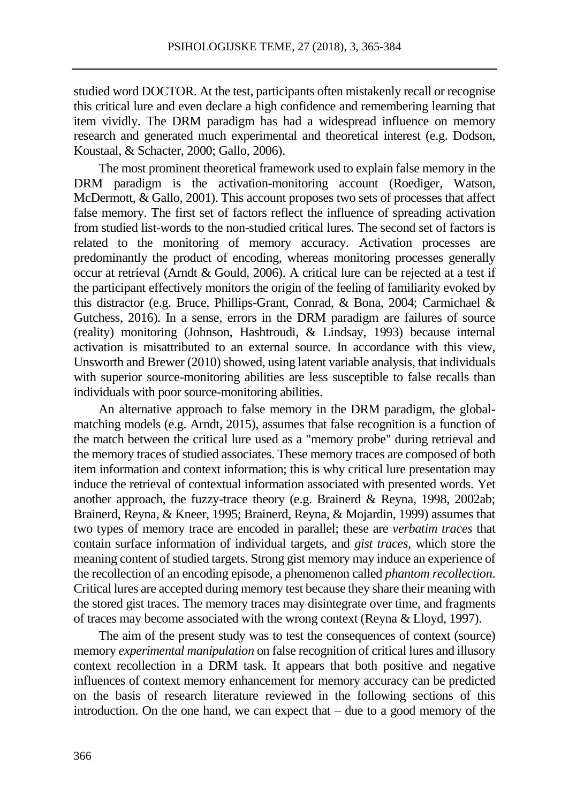studied word DOCTOR. At the test, participants often mistakenly recall or recognise this critical lure and even declare a high confidence and remembering learning that item vividly. The DRM paradigm has had a widespread influence on memory research and generated much experimental and theoretical interest (e.g. Dodson, Koustaal, & Schacter, 2000; Gallo, 2006).

The most prominent theoretical framework used to explain false memory in the DRM paradigm is the activation-monitoring account (Roediger, Watson, McDermott, & Gallo, 2001). This account proposes two sets of processes that affect false memory. The first set of factors reflect the influence of spreading activation from studied list-words to the non-studied critical lures. The second set of factors is related to the monitoring of memory accuracy. Activation processes are predominantly the product of encoding, whereas monitoring processes generally occur at retrieval (Arndt & Gould, 2006). A critical lure can be rejected at a test if the participant effectively monitors the origin of the feeling of familiarity evoked by this distractor (e.g. Bruce, Phillips-Grant, Conrad, & Bona, 2004; Carmichael & Gutchess, 2016). In a sense, errors in the DRM paradigm are failures of source (reality) monitoring (Johnson, Hashtroudi, & Lindsay, 1993) because internal activation is misattributed to an external source. In accordance with this view, Unsworth and Brewer (2010) showed, using latent variable analysis, that individuals with superior source-monitoring abilities are less susceptible to false recalls than individuals with poor source-monitoring abilities.

An alternative approach to false memory in the DRM paradigm, the globalmatching models (e.g. Arndt, 2015), assumes that false recognition is a function of the match between the critical lure used as a "memory probe" during retrieval and the memory traces of studied associates. These memory traces are composed of both item information and context information; this is why critical lure presentation may induce the retrieval of contextual information associated with presented words. Yet another approach, the fuzzy-trace theory (e.g. Brainerd & Reyna, 1998, 2002ab; Brainerd, Reyna, & Kneer, 1995; Brainerd, Reyna, & Mojardin, 1999) assumes that two types of memory trace are encoded in parallel; these are *verbatim traces* that contain surface information of individual targets, and *gist traces,* which store the meaning content of studied targets. Strong gist memory may induce an experience of the recollection of an encoding episode, a phenomenon called *phantom recollection*. Critical lures are accepted during memory test because they share their meaning with the stored gist traces. The memory traces may disintegrate over time, and fragments of traces may become associated with the wrong context (Reyna & Lloyd, 1997).

The aim of the present study was to test the consequences of context (source) memory *experimental manipulation* on false recognition of critical lures and illusory context recollection in a DRM task. It appears that both positive and negative influences of context memory enhancement for memory accuracy can be predicted on the basis of research literature reviewed in the following sections of this introduction. On the one hand, we can expect that – due to a good memory of the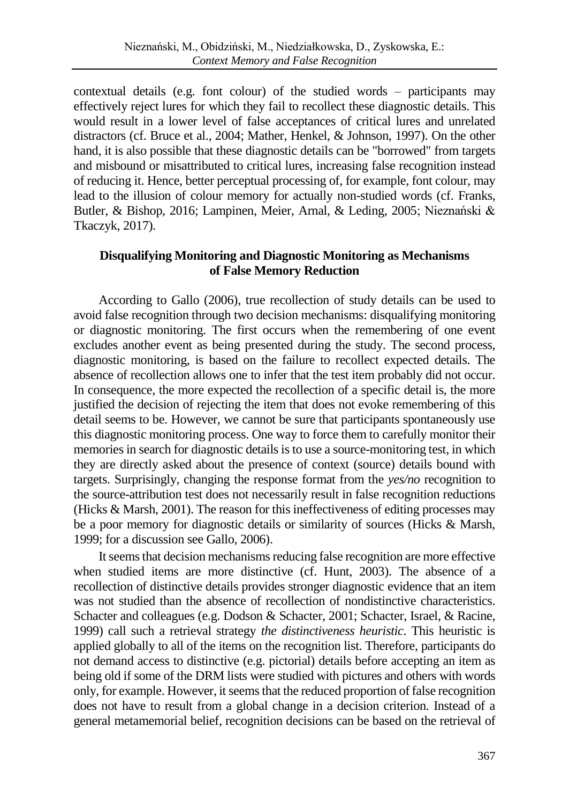contextual details (e.g. font colour) of the studied words – participants may effectively reject lures for which they fail to recollect these diagnostic details. This would result in a lower level of false acceptances of critical lures and unrelated distractors (cf. Bruce et al., 2004; Mather, Henkel, & Johnson, 1997). On the other hand, it is also possible that these diagnostic details can be "borrowed" from targets and misbound or misattributed to critical lures, increasing false recognition instead of reducing it. Hence, better perceptual processing of, for example, font colour, may lead to the illusion of colour memory for actually non-studied words (cf. Franks, Butler, & Bishop, 2016; Lampinen, Meier, Arnal, & Leding, 2005; Nieznański & Tkaczyk, 2017).

## **Disqualifying Monitoring and Diagnostic Monitoring as Mechanisms of False Memory Reduction**

According to Gallo (2006), true recollection of study details can be used to avoid false recognition through two decision mechanisms: disqualifying monitoring or diagnostic monitoring. The first occurs when the remembering of one event excludes another event as being presented during the study. The second process, diagnostic monitoring, is based on the failure to recollect expected details. The absence of recollection allows one to infer that the test item probably did not occur. In consequence, the more expected the recollection of a specific detail is, the more justified the decision of rejecting the item that does not evoke remembering of this detail seems to be. However, we cannot be sure that participants spontaneously use this diagnostic monitoring process. One way to force them to carefully monitor their memories in search for diagnostic details is to use a source-monitoring test, in which they are directly asked about the presence of context (source) details bound with targets. Surprisingly, changing the response format from the *yes/no* recognition to the source-attribution test does not necessarily result in false recognition reductions (Hicks & Marsh, 2001). The reason for this ineffectiveness of editing processes may be a poor memory for diagnostic details or similarity of sources (Hicks & Marsh, 1999; for a discussion see Gallo, 2006).

It seems that decision mechanisms reducing false recognition are more effective when studied items are more distinctive (cf. Hunt, 2003). The absence of a recollection of distinctive details provides stronger diagnostic evidence that an item was not studied than the absence of recollection of nondistinctive characteristics. Schacter and colleagues (e.g. Dodson & Schacter, 2001; Schacter, Israel, & Racine, 1999) call such a retrieval strategy *the distinctiveness heuristic*. This heuristic is applied globally to all of the items on the recognition list. Therefore, participants do not demand access to distinctive (e.g. pictorial) details before accepting an item as being old if some of the DRM lists were studied with pictures and others with words only, for example. However, it seems that the reduced proportion of false recognition does not have to result from a global change in a decision criterion. Instead of a general metamemorial belief, recognition decisions can be based on the retrieval of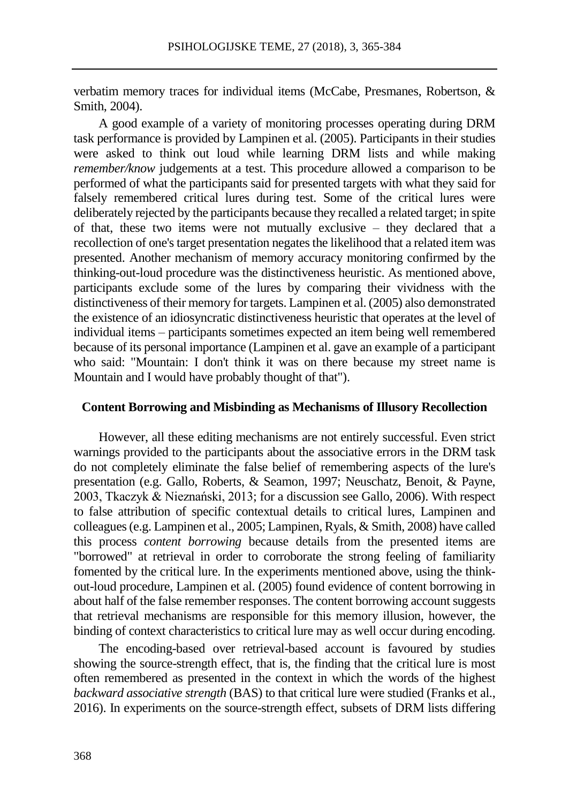verbatim memory traces for individual items (McCabe, Presmanes, Robertson, & Smith, 2004).

A good example of a variety of monitoring processes operating during DRM task performance is provided by Lampinen et al. (2005). Participants in their studies were asked to think out loud while learning DRM lists and while making *remember/know* judgements at a test. This procedure allowed a comparison to be performed of what the participants said for presented targets with what they said for falsely remembered critical lures during test. Some of the critical lures were deliberately rejected by the participants because they recalled a related target; in spite of that, these two items were not mutually exclusive – they declared that a recollection of one's target presentation negates the likelihood that a related item was presented. Another mechanism of memory accuracy monitoring confirmed by the thinking-out-loud procedure was the distinctiveness heuristic. As mentioned above, participants exclude some of the lures by comparing their vividness with the distinctiveness of their memory for targets. Lampinen et al. (2005) also demonstrated the existence of an idiosyncratic distinctiveness heuristic that operates at the level of individual items – participants sometimes expected an item being well remembered because of its personal importance (Lampinen et al. gave an example of a participant who said: "Mountain: I don't think it was on there because my street name is Mountain and I would have probably thought of that").

### **Content Borrowing and Misbinding as Mechanisms of Illusory Recollection**

However, all these editing mechanisms are not entirely successful. Even strict warnings provided to the participants about the associative errors in the DRM task do not completely eliminate the false belief of remembering aspects of the lure's presentation (e.g. Gallo, Roberts, & Seamon, 1997; Neuschatz, Benoit, & Payne, 2003, Tkaczyk & Nieznański, 2013; for a discussion see Gallo, 2006). With respect to false attribution of specific contextual details to critical lures, Lampinen and colleagues (e.g. Lampinen et al., 2005; Lampinen, Ryals, & Smith, 2008) have called this process *content borrowing* because details from the presented items are "borrowed" at retrieval in order to corroborate the strong feeling of familiarity fomented by the critical lure. In the experiments mentioned above, using the thinkout-loud procedure, Lampinen et al. (2005) found evidence of content borrowing in about half of the false remember responses. The content borrowing account suggests that retrieval mechanisms are responsible for this memory illusion, however, the binding of context characteristics to critical lure may as well occur during encoding.

The encoding-based over retrieval-based account is favoured by studies showing the source-strength effect, that is, the finding that the critical lure is most often remembered as presented in the context in which the words of the highest *backward associative strength* (BAS) to that critical lure were studied (Franks et al., 2016). In experiments on the source-strength effect, subsets of DRM lists differing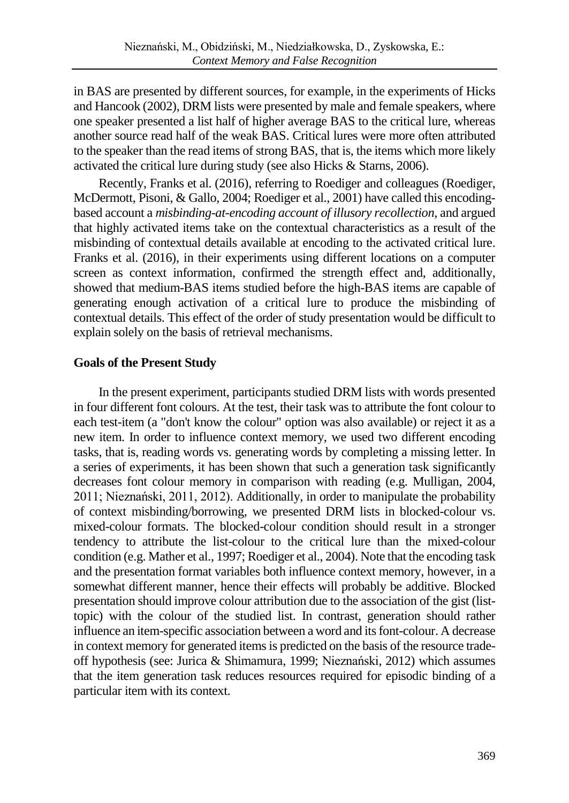in BAS are presented by different sources, for example, in the experiments of Hicks and Hancook (2002), DRM lists were presented by male and female speakers, where one speaker presented a list half of higher average BAS to the critical lure, whereas another source read half of the weak BAS. Critical lures were more often attributed to the speaker than the read items of strong BAS, that is, the items which more likely activated the critical lure during study (see also Hicks & Starns, 2006).

Recently, Franks et al. (2016), referring to Roediger and colleagues (Roediger, McDermott, Pisoni, & Gallo, 2004; Roediger et al., 2001) have called this encodingbased account a *misbinding-at-encoding account of illusory recollection*, and argued that highly activated items take on the contextual characteristics as a result of the misbinding of contextual details available at encoding to the activated critical lure. Franks et al. (2016), in their experiments using different locations on a computer screen as context information, confirmed the strength effect and, additionally, showed that medium-BAS items studied before the high-BAS items are capable of generating enough activation of a critical lure to produce the misbinding of contextual details. This effect of the order of study presentation would be difficult to explain solely on the basis of retrieval mechanisms.

## **Goals of the Present Study**

In the present experiment, participants studied DRM lists with words presented in four different font colours. At the test, their task was to attribute the font colour to each test-item (a "don't know the colour" option was also available) or reject it as a new item. In order to influence context memory, we used two different encoding tasks, that is, reading words vs. generating words by completing a missing letter. In a series of experiments, it has been shown that such a generation task significantly decreases font colour memory in comparison with reading (e.g. Mulligan, 2004, 2011; Nieznański, 2011, 2012). Additionally, in order to manipulate the probability of context misbinding/borrowing, we presented DRM lists in blocked-colour vs. mixed-colour formats. The blocked-colour condition should result in a stronger tendency to attribute the list-colour to the critical lure than the mixed-colour condition (e.g. Mather et al., 1997; Roediger et al., 2004). Note that the encoding task and the presentation format variables both influence context memory, however, in a somewhat different manner, hence their effects will probably be additive. Blocked presentation should improve colour attribution due to the association of the gist (listtopic) with the colour of the studied list. In contrast, generation should rather influence an item-specific association between a word and its font-colour. A decrease in context memory for generated items is predicted on the basis of the resource tradeoff hypothesis (see: Jurica & Shimamura, 1999; Nieznański, 2012) which assumes that the item generation task reduces resources required for episodic binding of a particular item with its context.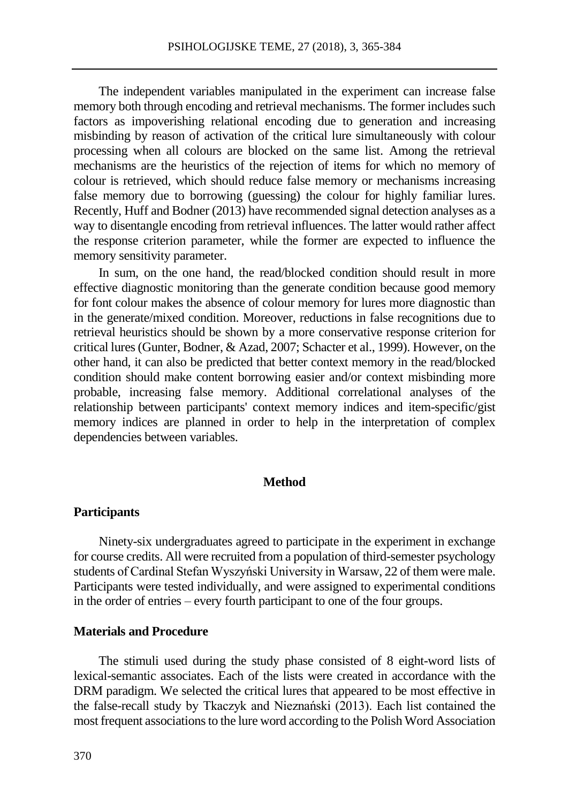The independent variables manipulated in the experiment can increase false memory both through encoding and retrieval mechanisms. The former includes such factors as impoverishing relational encoding due to generation and increasing misbinding by reason of activation of the critical lure simultaneously with colour processing when all colours are blocked on the same list. Among the retrieval mechanisms are the heuristics of the rejection of items for which no memory of colour is retrieved, which should reduce false memory or mechanisms increasing false memory due to borrowing (guessing) the colour for highly familiar lures. Recently, Huff and Bodner (2013) have recommended signal detection analyses as a way to disentangle encoding from retrieval influences. The latter would rather affect the response criterion parameter, while the former are expected to influence the memory sensitivity parameter.

In sum, on the one hand, the read/blocked condition should result in more effective diagnostic monitoring than the generate condition because good memory for font colour makes the absence of colour memory for lures more diagnostic than in the generate/mixed condition. Moreover, reductions in false recognitions due to retrieval heuristics should be shown by a more conservative response criterion for critical lures(Gunter, Bodner, & Azad, 2007; Schacter et al., 1999). However, on the other hand, it can also be predicted that better context memory in the read/blocked condition should make content borrowing easier and/or context misbinding more probable, increasing false memory. Additional correlational analyses of the relationship between participants' context memory indices and item-specific/gist memory indices are planned in order to help in the interpretation of complex dependencies between variables.

#### **Method**

## **Participants**

Ninety-six undergraduates agreed to participate in the experiment in exchange for course credits. All were recruited from a population of third-semester psychology students of Cardinal Stefan Wyszyński University in Warsaw, 22 of them were male. Participants were tested individually, and were assigned to experimental conditions in the order of entries – every fourth participant to one of the four groups.

#### **Materials and Procedure**

The stimuli used during the study phase consisted of 8 eight-word lists of lexical-semantic associates. Each of the lists were created in accordance with the DRM paradigm. We selected the critical lures that appeared to be most effective in the false-recall study by Tkaczyk and Nieznański (2013). Each list contained the most frequent associations to the lure word according to the Polish Word Association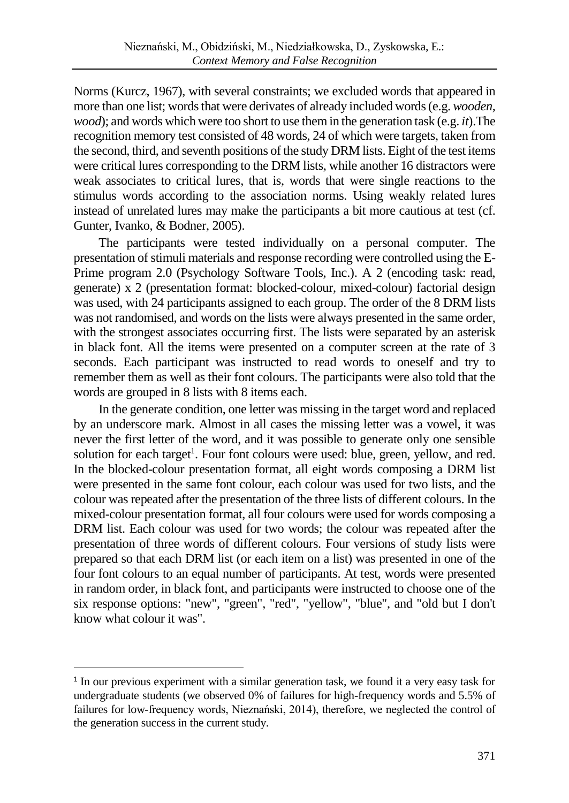Norms (Kurcz, 1967), with several constraints; we excluded words that appeared in more than one list; words that were derivates of already included words (e.g. *wooden, wood*); and words which were too short to use them in the generation task (e.g. *it*).The recognition memory test consisted of 48 words, 24 of which were targets, taken from the second, third, and seventh positions of the study DRM lists. Eight of the test items were critical lures corresponding to the DRM lists, while another 16 distractors were weak associates to critical lures, that is, words that were single reactions to the stimulus words according to the association norms. Using weakly related lures instead of unrelated lures may make the participants a bit more cautious at test (cf. Gunter, Ivanko, & Bodner, 2005).

The participants were tested individually on a personal computer. The presentation of stimuli materials and response recording were controlled using the E-Prime program 2.0 (Psychology Software Tools, Inc.). A 2 (encoding task: read, generate) x 2 (presentation format: blocked-colour, mixed-colour) factorial design was used, with 24 participants assigned to each group. The order of the 8 DRM lists was not randomised, and words on the lists were always presented in the same order, with the strongest associates occurring first. The lists were separated by an asterisk in black font. All the items were presented on a computer screen at the rate of 3 seconds. Each participant was instructed to read words to oneself and try to remember them as well as their font colours. The participants were also told that the words are grouped in 8 lists with 8 items each.

In the generate condition, one letter was missing in the target word and replaced by an underscore mark. Almost in all cases the missing letter was a vowel, it was never the first letter of the word, and it was possible to generate only one sensible solution for each target<sup>1</sup>. Four font colours were used: blue, green, yellow, and red. In the blocked-colour presentation format, all eight words composing a DRM list were presented in the same font colour, each colour was used for two lists, and the colour was repeated after the presentation of the three lists of different colours. In the mixed-colour presentation format, all four colours were used for words composing a DRM list. Each colour was used for two words; the colour was repeated after the presentation of three words of different colours. Four versions of study lists were prepared so that each DRM list (or each item on a list) was presented in one of the four font colours to an equal number of participants. At test, words were presented in random order, in black font, and participants were instructed to choose one of the six response options: "new", "green", "red", "yellow", "blue", and "old but I don't know what colour it was".

 $\overline{a}$ 

<sup>&</sup>lt;sup>1</sup> In our previous experiment with a similar generation task, we found it a very easy task for undergraduate students (we observed 0% of failures for high-frequency words and 5.5% of failures for low-frequency words, Nieznański, 2014), therefore, we neglected the control of the generation success in the current study.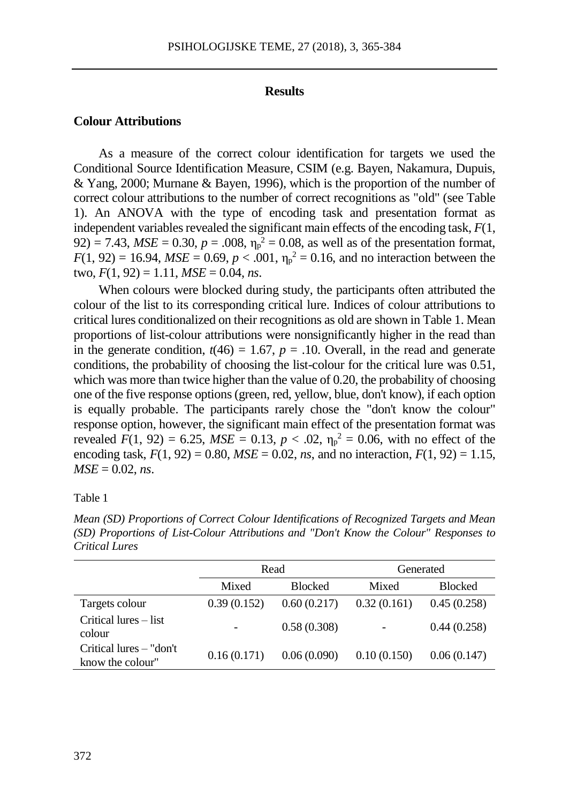#### **Results**

#### **Colour Attributions**

As a measure of the correct colour identification for targets we used the Conditional Source Identification Measure, CSIM (e.g. Bayen, Nakamura, Dupuis,  $& Yang, 2000; Murnane & Bayen, 1996$ , which is the proportion of the number of correct colour attributions to the number of correct recognitions as "old" (see Table 1). An ANOVA with the type of encoding task and presentation format as independent variables revealed the significant main effects of the encoding task,  $F(1, 1)$ 92) = 7.43,  $MSE = 0.30$ ,  $p = .008$ ,  $\eta_p^2 = 0.08$ , as well as of the presentation format,  $F(1, 92) = 16.94$ ,  $MSE = 0.69$ ,  $p < .001$ ,  $\eta_p^2 = 0.16$ , and no interaction between the  $two, F(1, 92) = 1.11, MSE = 0.04, ns.$ 

When colours were blocked during study, the participants often attributed the colour of the list to its corresponding critical lure. Indices of colour attributions to critical lures conditionalized on their recognitions as old are shown in Table 1. Mean proportions of list-colour attributions were nonsignificantly higher in the read than in the generate condition,  $t(46) = 1.67$ ,  $p = .10$ . Overall, in the read and generate conditions, the probability of choosing the list-colour for the critical lure was 0.51, which was more than twice higher than the value of 0.20, the probability of choosing one of the five response options (green, red, yellow, blue, don't know), if each option is equally probable. The participants rarely chose the "don't know the colour" response option, however, the significant main effect of the presentation format was revealed  $F(1, 92) = 6.25$ ,  $MSE = 0.13$ ,  $p < .02$ ,  $\eta_p^2 = 0.06$ , with no effect of the encoding task,  $F(1, 92) = 0.80$ ,  $MSE = 0.02$ , *ns*, and no interaction,  $F(1, 92) = 1.15$ ,  $MSE = 0.02$ , *ns*.

Table 1

|                                             | Read        |                | Generated   |                |  |
|---------------------------------------------|-------------|----------------|-------------|----------------|--|
|                                             | Mixed       | <b>Blocked</b> | Mixed       | <b>Blocked</b> |  |
| Targets colour                              | 0.39(0.152) | 0.60(0.217)    | 0.32(0.161) | 0.45(0.258)    |  |
| Critical lures – list<br>colour             |             | 0.58(0.308)    |             | 0.44(0.258)    |  |
| Critical lures – "don't<br>know the colour" | 0.16(0.171) | 0.06(0.090)    | 0.10(0.150) | 0.06(0.147)    |  |

*Mean (SD) Proportions of Correct Colour Identifications of Recognized Targets and Mean (SD) Proportions of List-Colour Attributions and "Don't Know the Colour" Responses to Critical Lures*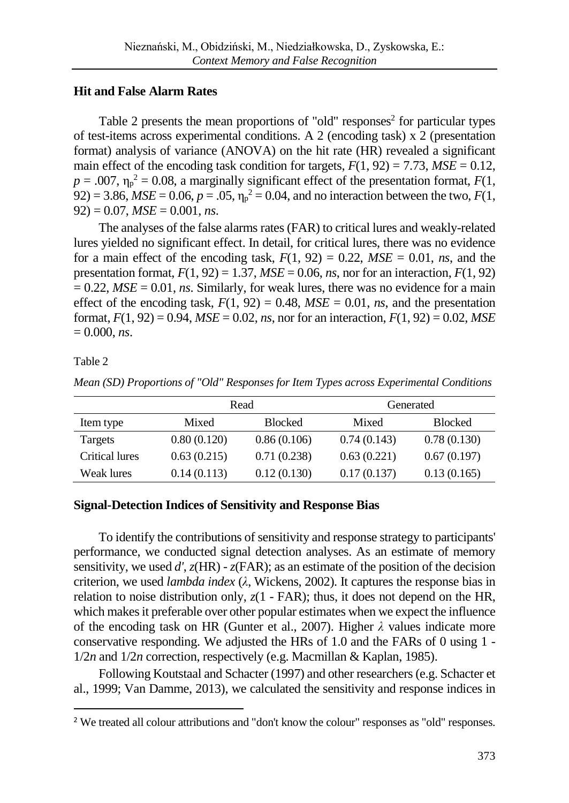## **Hit and False Alarm Rates**

Table 2 presents the mean proportions of "old" responses<sup>2</sup> for particular types of test-items across experimental conditions. A 2 (encoding task) x 2 (presentation format) analysis of variance (ANOVA) on the hit rate (HR) revealed a significant main effect of the encoding task condition for targets,  $F(1, 92) = 7.73$ ,  $MSE = 0.12$ ,  $p = .007$ ,  $\eta_p^2 = 0.08$ , a marginally significant effect of the presentation format,  $F(1)$ ,  $92$ ) = 3.86, *MSE* = 0.06,  $p = .05$ ,  $\eta_p^2 = 0.04$ , and no interaction between the two,  $F(1, 0.06)$  $92$ ) = 0.07, *MSE* = 0.001, *ns*.

The analyses of the false alarms rates (FAR) to critical lures and weakly-related lures yielded no significant effect. In detail, for critical lures, there was no evidence for a main effect of the encoding task,  $F(1, 92) = 0.22$ ,  $MSE = 0.01$ , *ns*, and the presentation format,  $F(1, 92) = 1.37$ ,  $MSE = 0.06$ , *ns*, nor for an interaction,  $F(1, 92)$  $= 0.22$ ,  $MSE = 0.01$ , *ns*. Similarly, for weak lures, there was no evidence for a main effect of the encoding task,  $F(1, 92) = 0.48$ ,  $MSE = 0.01$ , *ns*, and the presentation format, *F*(1, 92) = 0.94, *MSE* = 0.02, *ns*, nor for an interaction, *F*(1, 92) = 0.02, *MSE* = 0.000, *ns*.

Table 2

*Mean (SD) Proportions of "Old" Responses for Item Types across Experimental Conditions*

|                |             | Read           | Generated   |                |  |
|----------------|-------------|----------------|-------------|----------------|--|
| Item type      | Mixed       | <b>Blocked</b> | Mixed       | <b>Blocked</b> |  |
| Targets        | 0.80(0.120) | 0.86(0.106)    | 0.74(0.143) | 0.78(0.130)    |  |
| Critical lures | 0.63(0.215) | 0.71(0.238)    | 0.63(0.221) | 0.67(0.197)    |  |
| Weak lures     | 0.14(0.113) | 0.12(0.130)    | 0.17(0.137) | 0.13(0.165)    |  |

## **Signal-Detection Indices of Sensitivity and Response Bias**

To identify the contributions of sensitivity and response strategy to participants' performance, we conducted signal detection analyses. As an estimate of memory sensitivity, we used *d'*, *z*(HR) - *z*(FAR); as an estimate of the position of the decision criterion, we used *lambda index* (*λ*, Wickens, 2002). It captures the response bias in relation to noise distribution only,  $z(1 - FAR)$ ; thus, it does not depend on the HR, which makes it preferable over other popular estimates when we expect the influence of the encoding task on HR (Gunter et al., 2007). Higher *λ* values indicate more conservative responding. We adjusted the HRs of 1.0 and the FARs of 0 using 1 - 1/2*n* and 1/2*n* correction, respectively (e.g. Macmillan & Kaplan, 1985).

Following Koutstaal and Schacter (1997) and other researchers (e.g. Schacter et al., 1999; Van Damme, 2013), we calculated the sensitivity and response indices in

 $\overline{a}$ <sup>2</sup> We treated all colour attributions and "don't know the colour" responses as "old" responses.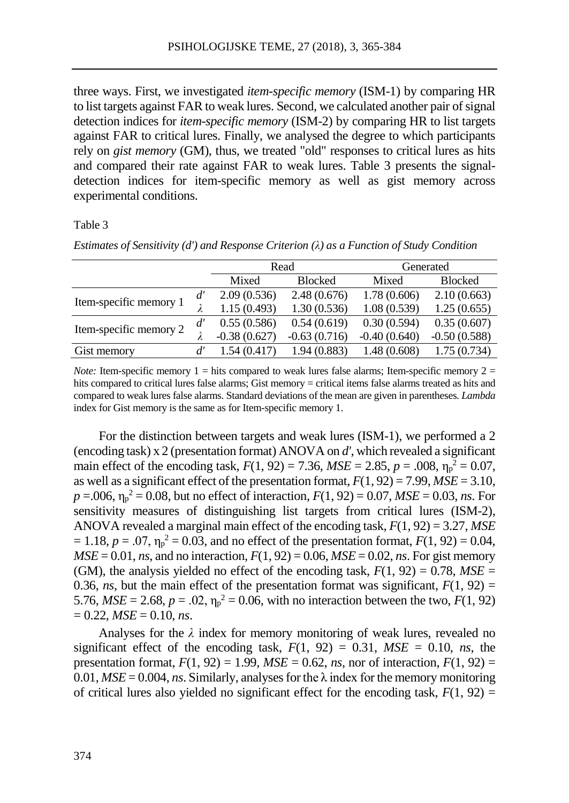three ways. First, we investigated *item-specific memory* (ISM-1) by comparing HR to list targets against FAR to weak lures. Second, we calculated another pair of signal detection indices for *item-specific memory* (ISM-2) by comparing HR to list targets against FAR to critical lures. Finally, we analysed the degree to which participants rely on *gist memory* (GM), thus, we treated "old" responses to critical lures as hits and compared their rate against FAR to weak lures. Table 3 presents the signaldetection indices for item-specific memory as well as gist memory across experimental conditions.

Table 3

|                        |    | Read           |                | Generated      |                |  |
|------------------------|----|----------------|----------------|----------------|----------------|--|
|                        |    | Mixed          | <b>Blocked</b> | Mixed          | <b>Blocked</b> |  |
| Item-specific memory 1 | d' | 2.09(0.536)    | 2.48(0.676)    | 1.78(0.606)    | 2.10(0.663)    |  |
|                        |    | 1.15 (0.493)   | 1.30(0.536)    | 1.08(0.539)    | 1.25(0.655)    |  |
| Item-specific memory 2 | d' | 0.55(0.586)    | 0.54(0.619)    | 0.30(0.594)    | 0.35(0.607)    |  |
|                        |    | $-0.38(0.627)$ | $-0.63(0.716)$ | $-0.40(0.640)$ | $-0.50(0.588)$ |  |
| Gist memory            | d' | .54(0.417)     | 1.94 (0.883)   | 1.48 (0.608)   | 1.75(0.734)    |  |

*Estimates of Sensitivity (d') and Response Criterion (λ) as a Function of Study Condition*

*Note:* Item-specific memory  $1 =$  hits compared to weak lures false alarms; Item-specific memory  $2 =$ hits compared to critical lures false alarms; Gist memory = critical items false alarms treated as hits and compared to weak lures false alarms. Standard deviations of the mean are given in parentheses. *Lambda* index for Gist memory is the same as for Item-specific memory 1.

For the distinction between targets and weak lures (ISM-1), we performed a 2 (encoding task) x 2 (presentation format) ANOVA on *d'*, which revealed a significant main effect of the encoding task,  $F(1, 92) = 7.36$ ,  $MSE = 2.85$ ,  $p = .008$ ,  $\eta_p^2 = 0.07$ , as well as a significant effect of the presentation format,  $F(1, 92) = 7.99$ ,  $MSE = 3.10$ ,  $p = 0.006$ ,  $\eta_p^2 = 0.08$ , but no effect of interaction,  $F(1, 92) = 0.07$ ,  $MSE = 0.03$ , *ns*. For sensitivity measures of distinguishing list targets from critical lures (ISM-2), ANOVA revealed a marginal main effect of the encoding task, *F*(1, 92) = 3.27, *MSE*  $= 1.18$ ,  $p = .07$ ,  $\eta_p^2 = 0.03$ , and no effect of the presentation format,  $F(1, 92) = 0.04$ ,  $MSE = 0.01$ , *ns*, and no interaction,  $F(1, 92) = 0.06$ ,  $MSE = 0.02$ , *ns*. For gist memory (GM), the analysis yielded no effect of the encoding task,  $F(1, 92) = 0.78$ ,  $MSE =$ 0.36, *ns*, but the main effect of the presentation format was significant,  $F(1, 92) =$ 5.76,  $MSE = 2.68$ ,  $p = .02$ ,  $\eta_p^2 = 0.06$ , with no interaction between the two,  $F(1, 92)$  $= 0.22$ , *MSE* = 0.10, *ns*.

Analyses for the  $\lambda$  index for memory monitoring of weak lures, revealed no significant effect of the encoding task,  $F(1, 92) = 0.31$ ,  $MSE = 0.10$ , *ns*, the presentation format,  $F(1, 92) = 1.99$ ,  $MSE = 0.62$ , *ns*, nor of interaction,  $F(1, 92) =$  $0.01$ ,  $MSE = 0.004$ , *ns*. Similarly, analyses for the  $\lambda$  index for the memory monitoring of critical lures also yielded no significant effect for the encoding task,  $F(1, 92) =$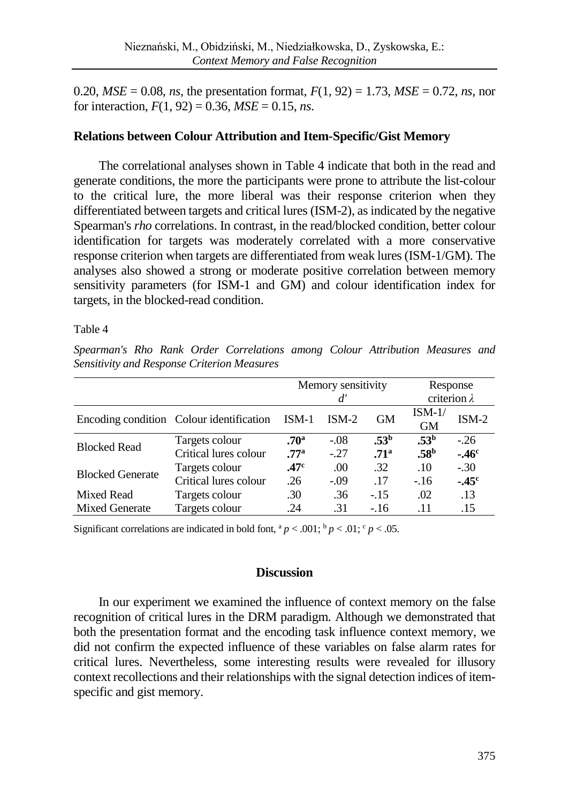0.20,  $MSE = 0.08$ , *ns*, the presentation format,  $F(1, 92) = 1.73$ ,  $MSE = 0.72$ , *ns*, nor for interaction,  $F(1, 92) = 0.36$ ,  $MSE = 0.15$ , *ns*.

### **Relations between Colour Attribution and Item-Specific/Gist Memory**

The correlational analyses shown in Table 4 indicate that both in the read and generate conditions, the more the participants were prone to attribute the list-colour to the critical lure, the more liberal was their response criterion when they differentiated between targets and critical lures (ISM-2), as indicated by the negative Spearman's *rho* correlations. In contrast, in the read/blocked condition, better colour identification for targets was moderately correlated with a more conservative response criterion when targets are differentiated from weak lures (ISM-1/GM). The analyses also showed a strong or moderate positive correlation between memory sensitivity parameters (for ISM-1 and GM) and colour identification index for targets, in the blocked-read condition.

Table 4

*Spearman's Rho Rank Order Correlations among Colour Attribution Measures and Sensitivity and Response Criterion Measures*

|                         |                                                | Memory sensitivity |          |                     | Response              |                      |
|-------------------------|------------------------------------------------|--------------------|----------|---------------------|-----------------------|----------------------|
|                         |                                                |                    |          | criterion $\lambda$ |                       |                      |
|                         | Encoding condition Colour identification ISM-1 |                    | $ISM-2$  | GM                  | $ISM-1/$<br><b>GM</b> | $ISM-2$              |
| <b>Blocked Read</b>     | Targets colour                                 | .70 <sup>a</sup>   | $-.08$   | .53 <sup>b</sup>    | .53 <sup>b</sup>      | $-.26$               |
|                         | Critical lures colour                          | .77 <sup>a</sup>   | $-.27$   | .71 <sup>a</sup>    | .58 <sup>b</sup>      | $-46c$               |
| <b>Blocked Generate</b> | Targets colour                                 | .47c               | $.00 \,$ | .32                 | .10                   | $-.30$               |
|                         | Critical lures colour                          | .26                | $-.09$   | .17                 | $-16$                 | $-0.45$ <sup>c</sup> |
| <b>Mixed Read</b>       | Targets colour                                 | .30                | .36      | $-.15$              | .02                   | .13                  |
| Mixed Generate          | Targets colour                                 | .24                | .31      | $-16$               | .11                   | .15                  |

Significant correlations are indicated in bold font,  ${}^{a}p < .001; {}^{b}p < .01; {}^{c}p < .05$ .

## **Discussion**

In our experiment we examined the influence of context memory on the false recognition of critical lures in the DRM paradigm. Although we demonstrated that both the presentation format and the encoding task influence context memory, we did not confirm the expected influence of these variables on false alarm rates for critical lures. Nevertheless, some interesting results were revealed for illusory context recollections and their relationships with the signal detection indices of itemspecific and gist memory.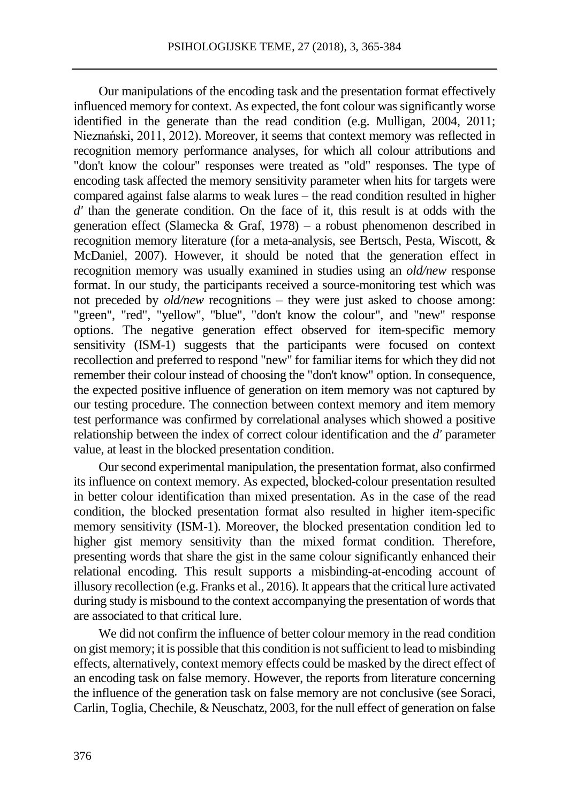Our manipulations of the encoding task and the presentation format effectively influenced memory for context. As expected, the font colour was significantly worse identified in the generate than the read condition (e.g. Mulligan, 2004, 2011; Nieznański, 2011, 2012). Moreover, it seems that context memory was reflected in recognition memory performance analyses, for which all colour attributions and "don't know the colour" responses were treated as "old" responses. The type of encoding task affected the memory sensitivity parameter when hits for targets were compared against false alarms to weak lures – the read condition resulted in higher *d'* than the generate condition. On the face of it, this result is at odds with the generation effect (Slamecka & Graf, 1978) – a robust phenomenon described in recognition memory literature (for a meta-analysis, see Bertsch, Pesta, Wiscott, & McDaniel, 2007). However, it should be noted that the generation effect in recognition memory was usually examined in studies using an *old/new* response format. In our study, the participants received a source-monitoring test which was not preceded by *old/new* recognitions – they were just asked to choose among: "green", "red", "yellow", "blue", "don't know the colour", and "new" response options. The negative generation effect observed for item-specific memory sensitivity (ISM-1) suggests that the participants were focused on context recollection and preferred to respond "new" for familiar items for which they did not remember their colour instead of choosing the "don't know" option. In consequence, the expected positive influence of generation on item memory was not captured by our testing procedure. The connection between context memory and item memory test performance was confirmed by correlational analyses which showed a positive relationship between the index of correct colour identification and the *d'* parameter value, at least in the blocked presentation condition.

Oursecond experimental manipulation, the presentation format, also confirmed its influence on context memory. As expected, blocked-colour presentation resulted in better colour identification than mixed presentation. As in the case of the read condition, the blocked presentation format also resulted in higher item-specific memory sensitivity (ISM-1). Moreover, the blocked presentation condition led to higher gist memory sensitivity than the mixed format condition. Therefore, presenting words that share the gist in the same colour significantly enhanced their relational encoding. This result supports a misbinding-at-encoding account of illusory recollection (e.g. Franks et al.,  $2016$ ). It appears that the critical lure activated during study is misbound to the context accompanying the presentation of words that are associated to that critical lure.

We did not confirm the influence of better colour memory in the read condition on gist memory; it is possible that this condition is not sufficient to lead to misbinding effects, alternatively, context memory effects could be masked by the direct effect of an encoding task on false memory. However, the reports from literature concerning the influence of the generation task on false memory are not conclusive (see Soraci, Carlin, Toglia, Chechile, & Neuschatz, 2003, for the null effect of generation on false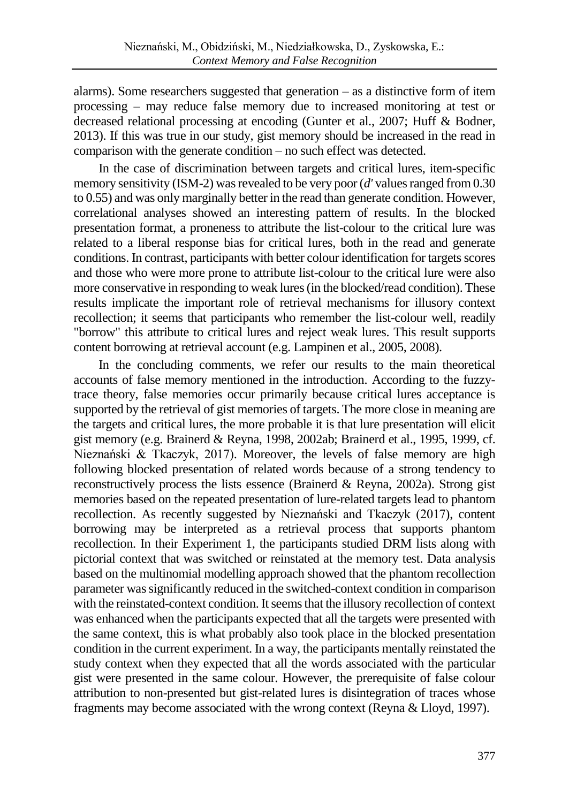alarms). Some researchers suggested that generation – as a distinctive form of item processing – may reduce false memory due to increased monitoring at test or decreased relational processing at encoding (Gunter et al., 2007; Huff & Bodner, 2013). If this was true in our study, gist memory should be increased in the read in comparison with the generate condition – no such effect was detected.

In the case of discrimination between targets and critical lures, item-specific memory sensitivity (ISM-2) was revealed to be very poor (*d'* values ranged from 0.30 to 0.55) and was only marginally better in the read than generate condition. However, correlational analyses showed an interesting pattern of results. In the blocked presentation format, a proneness to attribute the list-colour to the critical lure was related to a liberal response bias for critical lures, both in the read and generate conditions. In contrast, participants with better colour identification for targets scores and those who were more prone to attribute list-colour to the critical lure were also more conservative in responding to weak lures (in the blocked/read condition). These results implicate the important role of retrieval mechanisms for illusory context recollection; it seems that participants who remember the list-colour well, readily "borrow" this attribute to critical lures and reject weak lures. This result supports content borrowing at retrieval account (e.g. Lampinen et al., 2005, 2008).

In the concluding comments, we refer our results to the main theoretical accounts of false memory mentioned in the introduction. According to the fuzzytrace theory, false memories occur primarily because critical lures acceptance is supported by the retrieval of gist memories of targets. The more close in meaning are the targets and critical lures, the more probable it is that lure presentation will elicit gist memory (e.g. Brainerd & Reyna, 1998, 2002ab; Brainerd et al., 1995, 1999, cf. Nieznański & Tkaczyk, 2017). Moreover, the levels of false memory are high following blocked presentation of related words because of a strong tendency to reconstructively process the lists essence (Brainerd & Reyna, 2002a). Strong gist memories based on the repeated presentation of lure-related targets lead to phantom recollection. As recently suggested by Nieznański and Tkaczyk (2017), content borrowing may be interpreted as a retrieval process that supports phantom recollection. In their Experiment 1, the participants studied DRM lists along with pictorial context that was switched or reinstated at the memory test. Data analysis based on the multinomial modelling approach showed that the phantom recollection parameter was significantly reduced in the switched-context condition in comparison with the reinstated-context condition. It seems that the illusory recollection of context was enhanced when the participants expected that all the targets were presented with the same context, this is what probably also took place in the blocked presentation condition in the current experiment. In a way, the participants mentally reinstated the study context when they expected that all the words associated with the particular gist were presented in the same colour. However, the prerequisite of false colour attribution to non-presented but gist-related lures is disintegration of traces whose fragments may become associated with the wrong context (Reyna & Lloyd, 1997).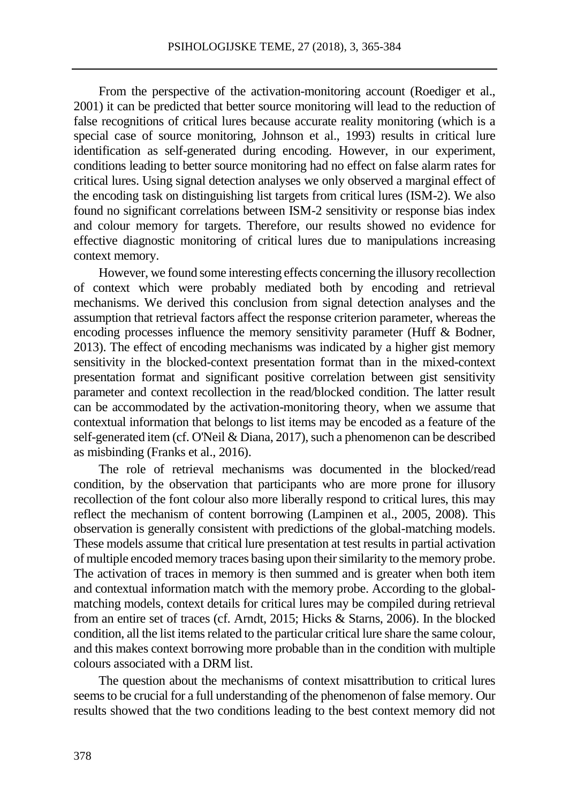From the perspective of the activation-monitoring account (Roediger et al., 2001) it can be predicted that better source monitoring will lead to the reduction of false recognitions of critical lures because accurate reality monitoring (which is a special case of source monitoring, Johnson et al., 1993) results in critical lure identification as self-generated during encoding. However, in our experiment, conditions leading to better source monitoring had no effect on false alarm rates for critical lures. Using signal detection analyses we only observed a marginal effect of the encoding task on distinguishing list targets from critical lures (ISM-2). We also found no significant correlations between ISM-2 sensitivity or response bias index and colour memory for targets. Therefore, our results showed no evidence for effective diagnostic monitoring of critical lures due to manipulations increasing context memory.

However, we found some interesting effects concerning the illusory recollection of context which were probably mediated both by encoding and retrieval mechanisms. We derived this conclusion from signal detection analyses and the assumption that retrieval factors affect the response criterion parameter, whereas the encoding processes influence the memory sensitivity parameter (Huff & Bodner, 2013). The effect of encoding mechanisms was indicated by a higher gist memory sensitivity in the blocked-context presentation format than in the mixed-context presentation format and significant positive correlation between gist sensitivity parameter and context recollection in the read/blocked condition. The latter result can be accommodated by the activation-monitoring theory, when we assume that contextual information that belongs to list items may be encoded as a feature of the self-generated item (cf. O'Neil & Diana, 2017), such a phenomenon can be described as misbinding (Franks et al., 2016).

The role of retrieval mechanisms was documented in the blocked/read condition, by the observation that participants who are more prone for illusory recollection of the font colour also more liberally respond to critical lures, this may reflect the mechanism of content borrowing (Lampinen et al., 2005, 2008). This observation is generally consistent with predictions of the global-matching models. These models assume that critical lure presentation at test results in partial activation of multiple encoded memory traces basing upon their similarity to the memory probe. The activation of traces in memory is then summed and is greater when both item and contextual information match with the memory probe. According to the globalmatching models, context details for critical lures may be compiled during retrieval from an entire set of traces (cf. Arndt, 2015; Hicks & Starns, 2006). In the blocked condition, all the list items related to the particular critical lure share the same colour, and this makes context borrowing more probable than in the condition with multiple colours associated with a DRM list.

The question about the mechanisms of context misattribution to critical lures seems to be crucial for a full understanding of the phenomenon of false memory. Our results showed that the two conditions leading to the best context memory did not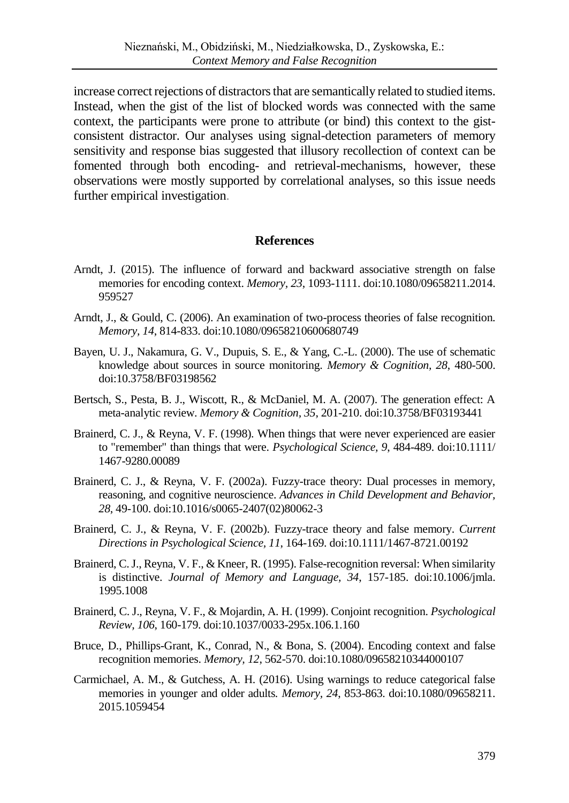increase correct rejections of distractors that are semantically related to studied items. Instead, when the gist of the list of blocked words was connected with the same context, the participants were prone to attribute (or bind) this context to the gistconsistent distractor. Our analyses using signal-detection parameters of memory sensitivity and response bias suggested that illusory recollection of context can be fomented through both encoding- and retrieval-mechanisms, however, these observations were mostly supported by correlational analyses, so this issue needs further empirical investigation.

## **References**

- Arndt, J. (2015). The influence of forward and backward associative strength on false memories for encoding context. *Memory, 23*, 1093-1111. doi:10.1080/09658211.2014. 959527
- Arndt, J., & Gould, C. (2006). An examination of two-process theories of false recognition. *Memory, 14*, 814-833. doi:10.1080/09658210600680749
- Bayen, U. J., Nakamura, G. V., Dupuis, S. E., & Yang, C.-L. (2000). The use of schematic knowledge about sources in source monitoring. *Memory & Cognition, 28*, 480-500. doi:10.3758/BF03198562
- Bertsch, S., Pesta, B. J., Wiscott, R., & McDaniel, M. A. (2007). The generation effect: A meta-analytic review. *Memory & Cognition, 35*, 201-210. doi:10.3758/BF03193441
- Brainerd, C. J., & Reyna, V. F. (1998). When things that were never experienced are easier to "remember" than things that were. *Psychological Science, 9*, 484-489. doi:10.1111/ 1467-9280.00089
- Brainerd, C. J., & Reyna, V. F. (2002a). Fuzzy-trace theory: Dual processes in memory, reasoning, and cognitive neuroscience. *Advances in Child Development and Behavior, 28*, 49-100. doi:10.1016/s0065-2407(02)80062-3
- Brainerd, C. J., & Reyna, V. F. (2002b). Fuzzy-trace theory and false memory. *Current Directions in Psychological Science, 11*, 164-169. doi:10.1111/1467-8721.00192
- Brainerd, C. J., Reyna, V. F., & Kneer, R. (1995). False-recognition reversal: When similarity is distinctive. *Journal of Memory and Language, 34*, 157-185. doi:10.1006/jmla. 1995.1008
- Brainerd, C. J., Reyna, V. F., & Mojardin, A. H. (1999). Conjoint recognition. *Psychological Review, 106*, 160-179. doi:10.1037/0033-295x.106.1.160
- Bruce, D., Phillips-Grant, K., Conrad, N., & Bona, S. (2004). Encoding context and false recognition memories. *Memory, 12*, 562-570. doi:10.1080/09658210344000107
- Carmichael, A. M., & Gutchess, A. H. (2016). Using warnings to reduce categorical false memories in younger and older adults*. Memory, 24*, 853-863. doi:10.1080/09658211. 2015.1059454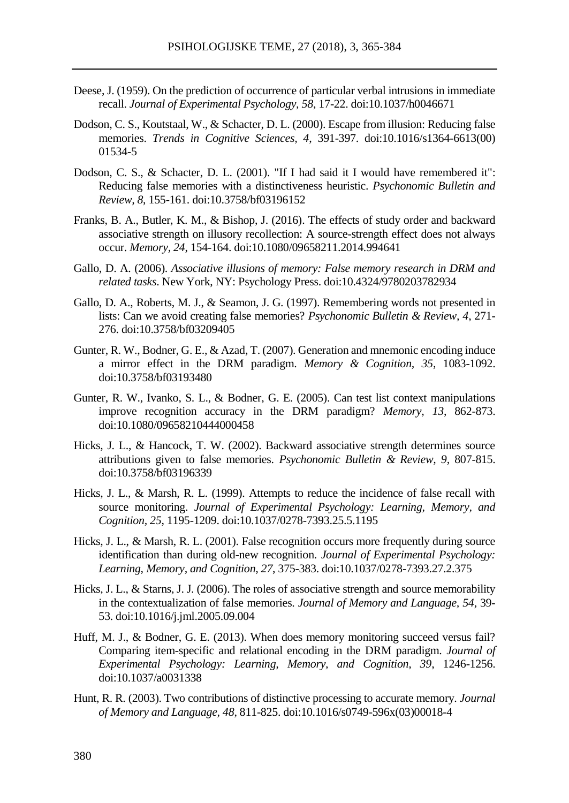- Deese, J. (1959). On the prediction of occurrence of particular verbal intrusions in immediate recall. *Journal of Experimental Psychology, 58*, 17-22. doi:10.1037/h0046671
- Dodson, C. S., Koutstaal, W., & Schacter, D. L. (2000). Escape from illusion: Reducing false memories. *Trends in Cognitive Sciences, 4*, 391-397. doi:10.1016/s1364-6613(00) 01534-5
- Dodson, C. S., & Schacter, D. L. (2001). "If I had said it I would have remembered it": Reducing false memories with a distinctiveness heuristic. *Psychonomic Bulletin and Review, 8*, 155-161. doi:10.3758/bf03196152
- Franks, B. A., Butler, K. M., & Bishop, J. (2016). The effects of study order and backward associative strength on illusory recollection: A source-strength effect does not always occur. *Memory, 24*, 154-164. doi:10.1080/09658211.2014.994641
- Gallo, D. A. (2006). *Associative illusions of memory: False memory research in DRM and related tasks*. New York, NY: Psychology Press. doi:10.4324/9780203782934
- Gallo, D. A., Roberts, M. J., & Seamon, J. G. (1997). Remembering words not presented in lists: Can we avoid creating false memories? *Psychonomic Bulletin & Review, 4*, 271- 276. doi:10.3758/bf03209405
- Gunter, R. W., Bodner, G. E., & Azad, T. (2007). Generation and mnemonic encoding induce a mirror effect in the DRM paradigm. *Memory & Cognition, 35*, 1083-1092. doi:10.3758/bf03193480
- Gunter, R. W., Ivanko, S. L., & Bodner, G. E. (2005). Can test list context manipulations improve recognition accuracy in the DRM paradigm? *Memory, 13*, 862-873. doi:10.1080/09658210444000458
- Hicks, J. L., & Hancock, T. W. (2002). Backward associative strength determines source attributions given to false memories. *Psychonomic Bulletin & Review, 9*, 807-815. doi:10.3758/bf03196339
- Hicks, J. L., & Marsh, R. L. (1999). Attempts to reduce the incidence of false recall with source monitoring. *Journal of Experimental Psychology: Learning, Memory, and Cognition, 25*, 1195-1209. doi:10.1037/0278-7393.25.5.1195
- Hicks, J. L., & Marsh, R. L. (2001). False recognition occurs more frequently during source identification than during old-new recognition. *Journal of Experimental Psychology: Learning, Memory, and Cognition, 27*, 375-383. doi:10.1037/0278-7393.27.2.375
- Hicks, J. L., & Starns, J. J. (2006). The roles of associative strength and source memorability in the contextualization of false memories. *Journal of Memory and Language, 54*, 39- 53. doi:10.1016/j.jml.2005.09.004
- Huff, M. J., & Bodner, G. E. (2013). When does memory monitoring succeed versus fail? Comparing item-specific and relational encoding in the DRM paradigm. *Journal of Experimental Psychology: Learning, Memory, and Cognition, 39*, 1246-1256. doi:10.1037/a0031338
- Hunt, R. R. (2003). Two contributions of distinctive processing to accurate memory. *Journal of Memory and Language, 48*, 811-825. doi:10.1016/s0749-596x(03)00018-4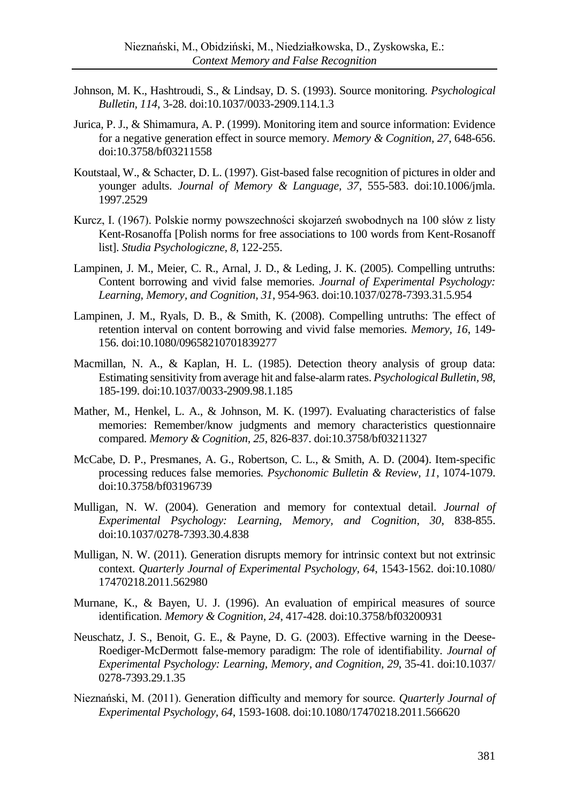- Johnson, M. K., Hashtroudi, S., & Lindsay, D. S. (1993). Source monitoring. *Psychological Bulletin, 114*, 3-28. doi:10.1037/0033-2909.114.1.3
- Jurica, P. J., & Shimamura, A. P. (1999). Monitoring item and source information: Evidence for a negative generation effect in source memory. *Memory & Cognition, 27*, 648-656. doi:10.3758/bf03211558
- Koutstaal, W., & Schacter, D. L. (1997). Gist-based false recognition of pictures in older and younger adults. *Journal of Memory & Language, 37*, 555-583. doi:10.1006/jmla. 1997.2529
- Kurcz, I. (1967). Polskie normy powszechności skojarzeń swobodnych na 100 słów z listy Kent-Rosanoffa [Polish norms for free associations to 100 words from Kent-Rosanoff list]. *Studia Psychologiczne, 8*, 122-255.
- Lampinen, J. M., Meier, C. R., Arnal, J. D., & Leding, J. K. (2005). Compelling untruths: Content borrowing and vivid false memories. *Journal of Experimental Psychology: Learning, Memory, and Cognition, 31*, 954-963. doi:10.1037/0278-7393.31.5.954
- Lampinen, J. M., Ryals, D. B., & Smith, K. (2008). Compelling untruths: The effect of retention interval on content borrowing and vivid false memories. *Memory, 16*, 149- 156. doi:10.1080/09658210701839277
- Macmillan, N. A., & Kaplan, H. L. (1985). Detection theory analysis of group data: Estimating sensitivity from average hit and false-alarm rates. *Psychological Bulletin, 98*, 185-199. doi:10.1037/0033-2909.98.1.185
- Mather, M., Henkel, L. A., & Johnson, M. K. (1997). Evaluating characteristics of false memories: Remember/know judgments and memory characteristics questionnaire compared. *Memory & Cognition, 25*, 826-837. doi:10.3758/bf03211327
- McCabe, D. P., Presmanes, A. G., Robertson, C. L., & Smith, A. D. (2004). Item-specific processing reduces false memories. *Psychonomic Bulletin & Review, 11*, 1074-1079. doi:10.3758/bf03196739
- Mulligan, N. W. (2004). Generation and memory for contextual detail. *Journal of Experimental Psychology: Learning, Memory, and Cognition, 30*, 838-855. doi:10.1037/0278-7393.30.4.838
- Mulligan, N. W. (2011). Generation disrupts memory for intrinsic context but not extrinsic context. *Quarterly Journal of Experimental Psychology, 64*, 1543-1562. doi:10.1080/ 17470218.2011.562980
- Murnane, K., & Bayen, U. J. (1996). An evaluation of empirical measures of source identification. *Memory & Cognition, 24*, 417-428. doi:10.3758/bf03200931
- Neuschatz, J. S., Benoit, G. E., & Payne, D. G. (2003). Effective warning in the Deese-Roediger-McDermott false-memory paradigm: The role of identifiability. *Journal of Experimental Psychology: Learning, Memory, and Cognition, 29*, 35-41. doi:10.1037/ 0278-7393.29.1.35
- Nieznański, M. (2011). Generation difficulty and memory for source. *Quarterly Journal of Experimental Psychology, 64*, 1593-1608. doi:10.1080/17470218.2011.566620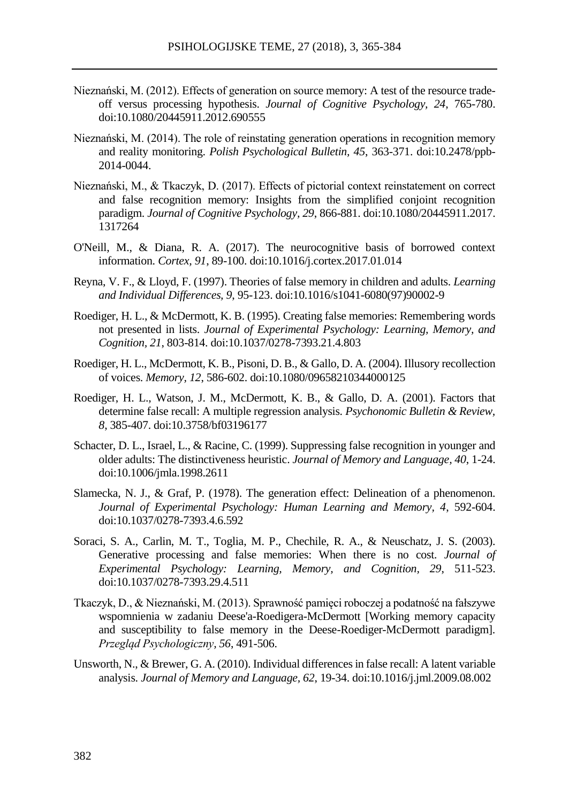- Nieznański, M. (2012). Effects of generation on source memory: A test of the resource tradeoff versus processing hypothesis. *Journal of Cognitive Psychology, 24*, 765-780. doi:10.1080/20445911.2012.690555
- Nieznański, M. (2014). The role of reinstating generation operations in recognition memory and reality monitoring. *Polish Psychological Bulletin, 45*, 363-371. doi:10.2478/ppb-2014-0044.
- Nieznański, M., & Tkaczyk, D. (2017). Effects of pictorial context reinstatement on correct and false recognition memory: Insights from the simplified conjoint recognition paradigm. *Journal of Cognitive Psychology, 29*, 866-881. doi:10.1080/20445911.2017. 1317264
- O'Neill, M., & Diana, R. A. (2017). The neurocognitive basis of borrowed context information. *Cortex, 91*, 89-100. doi:10.1016/j.cortex.2017.01.014
- Reyna, V. F., & Lloyd, F. (1997). Theories of false memory in children and adults. *Learning and Individual Differences, 9*, 95-123. doi:10.1016/s1041-6080(97)90002-9
- Roediger, H. L., & McDermott, K. B. (1995). Creating false memories: Remembering words not presented in lists. *Journal of Experimental Psychology: Learning, Memory, and Cognition, 21*, 803-814. doi:10.1037/0278-7393.21.4.803
- Roediger, H. L., McDermott, K. B., Pisoni, D. B., & Gallo, D. A. (2004). Illusory recollection of voices. *Memory, 12*, 586-602. doi:10.1080/09658210344000125
- Roediger, H. L., Watson, J. M., McDermott, K. B., & Gallo, D. A. (2001). Factors that determine false recall: A multiple regression analysis. *Psychonomic Bulletin & Review, 8*, 385-407. doi:10.3758/bf03196177
- Schacter, D. L., Israel, L., & Racine, C. (1999). Suppressing false recognition in younger and older adults: The distinctiveness heuristic. *Journal of Memory and Language, 40*, 1-24. doi:10.1006/jmla.1998.2611
- Slamecka, N. J., & Graf, P. (1978). The generation effect: Delineation of a phenomenon. *Journal of Experimental Psychology: Human Learning and Memory, 4*, 592-604. doi:10.1037/0278-7393.4.6.592
- Soraci, S. A., Carlin, M. T., Toglia, M. P., Chechile, R. A., & Neuschatz, J. S. (2003). Generative processing and false memories: When there is no cost*. Journal of Experimental Psychology: Learning, Memory, and Cognition, 29*, 511-523. doi:10.1037/0278-7393.29.4.511
- Tkaczyk, D., & Nieznański, M. (2013). Sprawność pamięci roboczej a podatność na fałszywe wspomnienia w zadaniu Deese'a-Roedigera-McDermott [Working memory capacity and susceptibility to false memory in the Deese-Roediger-McDermott paradigm]. *Przegląd Psychologiczny, 56*, 491-506.
- Unsworth, N., & Brewer, G. A. (2010). Individual differences in false recall: A latent variable analysis. *Journal of Memory and Language, 62*, 19-34. doi:10.1016/j.jml.2009.08.002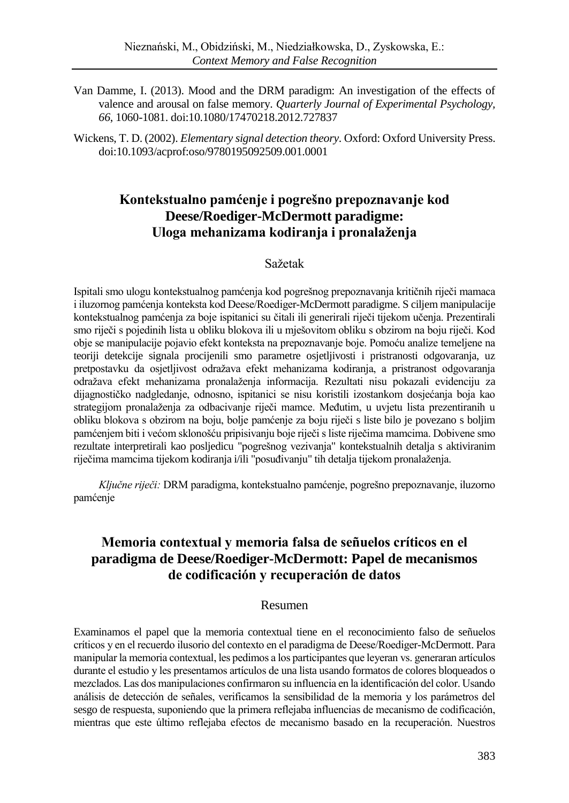Van Damme, I. (2013). Mood and the DRM paradigm: An investigation of the effects of valence and arousal on false memory. *Quarterly Journal of Experimental Psychology, 66*, 1060-1081. doi:10.1080/17470218.2012.727837

Wickens, T. D. (2002). *Elementary signal detection theory*. Oxford: Oxford University Press. doi:10.1093/acprof:oso/9780195092509.001.0001

## **Kontekstualno pamćenje i pogrešno prepoznavanje kod Deese/Roediger-McDermott paradigme: Uloga mehanizama kodiranja i pronalaženja**

#### Sažetak

Ispitali smo ulogu kontekstualnog pamćenja kod pogrešnog prepoznavanja kritičnih riječi mamaca i iluzornog pamćenja konteksta kod Deese/Roediger-McDermott paradigme. S ciljem manipulacije kontekstualnog pamćenja za boje ispitanici su čitali ili generirali riječi tijekom učenja. Prezentirali smo riječi s pojedinih lista u obliku blokova ili u mješovitom obliku s obzirom na boju riječi. Kod obje se manipulacije pojavio efekt konteksta na prepoznavanje boje. Pomoću analize temeljene na teoriji detekcije signala procijenili smo parametre osjetljivosti i pristranosti odgovaranja, uz pretpostavku da osjetljivost odražava efekt mehanizama kodiranja, a pristranost odgovaranja odražava efekt mehanizama pronalaženja informacija. Rezultati nisu pokazali evidenciju za dijagnostičko nadgledanje, odnosno, ispitanici se nisu koristili izostankom dosjećanja boja kao strategijom pronalaženja za odbacivanje riječi mamce. Međutim, u uvjetu lista prezentiranih u obliku blokova s obzirom na boju, bolje pamćenje za boju riječi s liste bilo je povezano s boljim pamćenjem biti i većom sklonošću pripisivanju boje riječi s liste riječima mamcima. Dobivene smo rezultate interpretirali kao posljedicu "pogrešnog vezivanja" kontekstualnih detalja s aktiviranim riječima mamcima tijekom kodiranja i/ili "posuđivanju" tih detalja tijekom pronalaženja.

*Ključne riječi:* DRM paradigma, kontekstualno pamćenje, pogrešno prepoznavanje, iluzorno pamćenje

## **Memoria contextual y memoria falsa de señuelos críticos en el paradigma de Deese/Roediger-McDermott: Papel de mecanismos de codificación y recuperación de datos**

#### Resumen

Examinamos el papel que la memoria contextual tiene en el reconocimiento falso de señuelos críticos y en el recuerdo ilusorio del contexto en el paradigma de Deese/Roediger-McDermott. Para manipular la memoria contextual, les pedimos a los participantes que leyeran vs. generaran artículos durante el estudio y les presentamos artículos de una lista usando formatos de colores bloqueados o mezclados. Las dos manipulaciones confirmaron su influencia en la identificación del color. Usando análisis de detección de señales, verificamos la sensibilidad de la memoria y los parámetros del sesgo de respuesta, suponiendo que la primera reflejaba influencias de mecanismo de codificación, mientras que este último reflejaba efectos de mecanismo basado en la recuperación. Nuestros